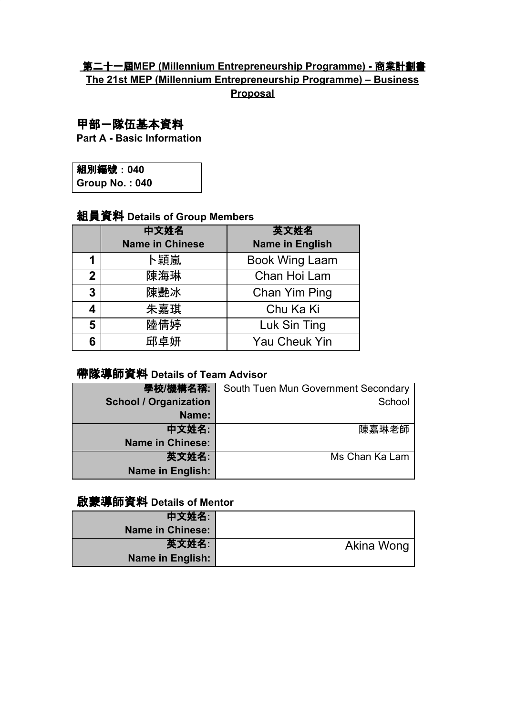## 第二十一屆**MEP (Millennium Entrepreneurship Programme) -** 商業計劃書 **The 21st MEP (Millennium Entrepreneurship Programme) – Business Proposal**

## 甲部-隊伍基本資料

**Part A - Basic Information**

| 組別編號: 040             |  |
|-----------------------|--|
| <b>Group No.: 040</b> |  |

# 組員資料 **Details of Group Members**

|   | 中文姓名                   | 英文姓名                   |  |  |
|---|------------------------|------------------------|--|--|
|   | <b>Name in Chinese</b> | <b>Name in English</b> |  |  |
| 1 | ト穎嵐                    | <b>Book Wing Laam</b>  |  |  |
| 2 | 陳海琳                    | Chan Hoi Lam           |  |  |
| 3 | 陳艷冰                    | Chan Yim Ping          |  |  |
|   | 朱嘉琪                    | Chu Ka Ki              |  |  |
| 5 | 陸倩婷                    | Luk Sin Ting           |  |  |
| 6 | 邱卓妍                    | <b>Yau Cheuk Yin</b>   |  |  |

# 帶隊導師資料 **Details of Team Advisor**

| 學校/機構名稱:                     | South Tuen Mun Government Secondary |
|------------------------------|-------------------------------------|
| <b>School / Organization</b> | School                              |
| Name:                        |                                     |
| 中文姓名:                        | 陳嘉琳老師                               |
| <b>Name in Chinese:</b>      |                                     |
| 英文姓名:                        | Ms Chan Ka Lam                      |
| Name in English:             |                                     |

## 啟蒙導師資料 **Details of Mentor**

|            | 中文姓名:                   |
|------------|-------------------------|
|            | <b>Name in Chinese:</b> |
| Akina Wong | 英文姓名:                   |
|            | Name in English:        |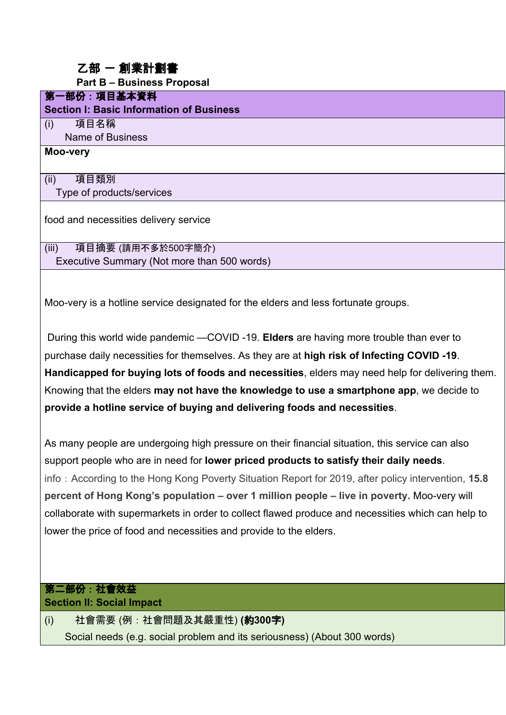## 乙部 ー 創業計劃書

**Part B – Business Proposal**

#### 第一部份:項目基本資料

**Section I: Basic Information of Business**

(i) 項目名稱

Name of Business

#### **Moo-very**

(ii) 項目類別 Type of products/services

food and necessities delivery service

(iii) 項目摘要 (請用不多於500字簡介) Executive Summary (Not more than 500 words)

Moo-very is a hotline service designated for the elders and less fortunate groups.

 During this world wide pandemic —COVID -19. **Elders** are having more trouble than ever to purchase daily necessities for themselves. As they are at **high risk of Infecting COVID -19**. **Handicapped for buying lots of foods and necessities**, elders may need help for delivering them. Knowing that the elders **may not have the knowledge to use a smartphone app**, we decide to **provide a hotline service of buying and delivering foods and necessities**.

As many people are undergoing high pressure on their financial situation, this service can also support people who are in need for **lower priced products to satisfy their daily needs**. info: According to the Hong Kong Poverty Situation Report for 2019, after policy intervention, **15.8 percent of Hong Kong's population – over 1 million people – live in poverty.** Moo-very will collaborate with supermarkets in order to collect flawed produce and necessities which can help to lower the price of food and necessities and provide to the elders.

#### 第二部份:社會效益 **Section II: Social Impact**

(i) 社會需要 (例:社會問題及其嚴重性) **(**約**300**字**)** Social needs (e.g. social problem and its seriousness) (About 300 words)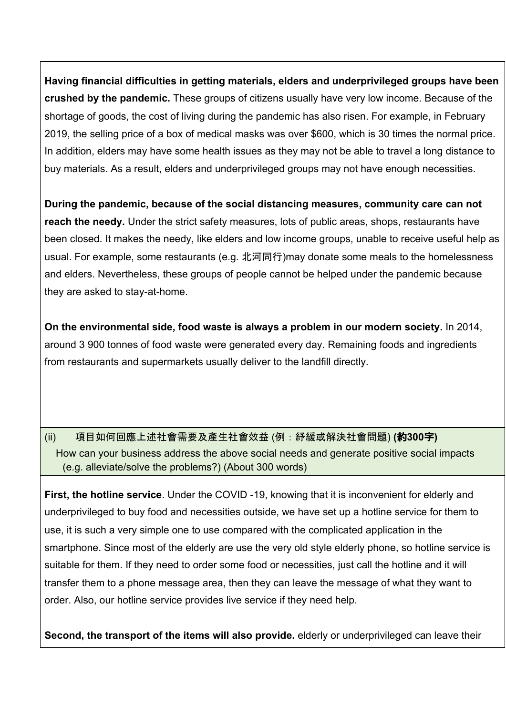**Having financial difficulties in getting materials, elders and underprivileged groups have been crushed by the pandemic.** These groups of citizens usually have very low income. Because of the shortage of goods, the cost of living during the pandemic has also risen. For example, in February 2019, the selling price of a box of medical masks was over \$600, which is 30 times the normal price. In addition, elders may have some health issues as they may not be able to travel a long distance to buy materials. As a result, elders and underprivileged groups may not have enough necessities.

**During the pandemic, because of the social distancing measures, community care can not reach the needy.** Under the strict safety measures, lots of public areas, shops, restaurants have been closed. It makes the needy, like elders and low income groups, unable to receive useful help as usual. For example, some restaurants (e.g. 北河同行)may donate some meals to the homelessness and elders. Nevertheless, these groups of people cannot be helped under the pandemic because they are asked to stay-at-home.

**On the environmental side, food waste is always a problem in our modern society.** In 2014, around 3 900 tonnes of food waste were generated every day. Remaining foods and ingredients from restaurants and supermarkets usually deliver to the landfill directly.

## (ii) 項目如何回應上述社會需要及產生社會效益 (例:紓緩或解決社會問題) **(**約**300**字**)** How can your business address the above social needs and generate positive social impacts (e.g. alleviate/solve the problems?) (About 300 words)

**First, the hotline service**. Under the COVID -19, knowing that it is inconvenient for elderly and underprivileged to buy food and necessities outside, we have set up a hotline service for them to use, it is such a very simple one to use compared with the complicated application in the smartphone. Since most of the elderly are use the very old style elderly phone, so hotline service is suitable for them. If they need to order some food or necessities, just call the hotline and it will transfer them to a phone message area, then they can leave the message of what they want to order. Also, our hotline service provides live service if they need help.

**Second, the transport of the items will also provide.** elderly or underprivileged can leave their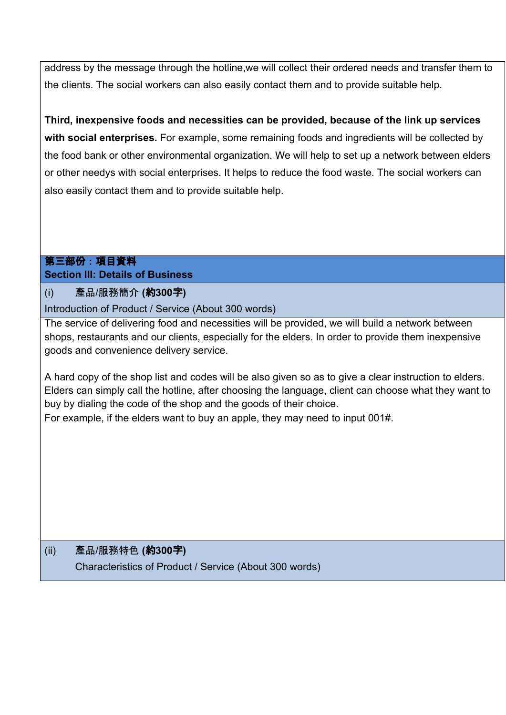address by the message through the hotline,we will collect their ordered needs and transfer them to the clients. The social workers can also easily contact them and to provide suitable help.

**Third, inexpensive foods and necessities can be provided, because of the link up services with social enterprises.** For example, some remaining foods and ingredients will be collected by the food bank or other environmental organization. We will help to set up a network between elders or other needys with social enterprises. It helps to reduce the food waste. The social workers can also easily contact them and to provide suitable help.

### 第三部份:項目資料 **Section III: Details of Business**

(i) 產品/服務簡介 **(**約**300**字**)**

Introduction of Product / Service (About 300 words)

The service of delivering food and necessities will be provided, we will build a network between shops, restaurants and our clients, especially for the elders. In order to provide them inexpensive goods and convenience delivery service.

A hard copy of the shop list and codes will be also given so as to give a clear instruction to elders. Elders can simply call the hotline, after choosing the language, client can choose what they want to buy by dialing the code of the shop and the goods of their choice. For example, if the elders want to buy an apple, they may need to input 001#.

(ii) 產品/服務特色 **(**約**300**字**)** Characteristics of Product / Service (About 300 words)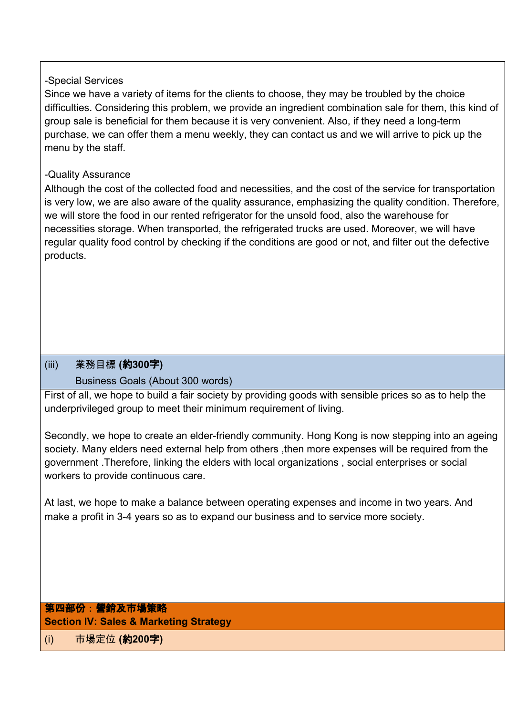#### -Special Services

Since we have a variety of items for the clients to choose, they may be troubled by the choice difficulties. Considering this problem, we provide an ingredient combination sale for them, this kind of group sale is beneficial for them because it is very convenient. Also, if they need a long-term purchase, we can offer them a menu weekly, they can contact us and we will arrive to pick up the menu by the staff.

### -Quality Assurance

Although the cost of the collected food and necessities, and the cost of the service for transportation is very low, we are also aware of the quality assurance, emphasizing the quality condition. Therefore, we will store the food in our rented refrigerator for the unsold food, also the warehouse for necessities storage. When transported, the refrigerated trucks are used. Moreover, we will have regular quality food control by checking if the conditions are good or not, and filter out the defective products.

### (iii) 業務目標 **(**約**300**字**)**

### Business Goals (About 300 words)

First of all, we hope to build a fair society by providing goods with sensible prices so as to help the underprivileged group to meet their minimum requirement of living.

Secondly, we hope to create an elder-friendly community. Hong Kong is now stepping into an ageing society. Many elders need external help from others, then more expenses will be required from the government .Therefore, linking the elders with local organizations , social enterprises or social workers to provide continuous care.

At last, we hope to make a balance between operating expenses and income in two years. And make a profit in 3-4 years so as to expand our business and to service more society.

## 第四部份:營銷及市場策略 **Section IV: Sales & Marketing Strategy**

(i) 市場定位 **(**約**200**字**)**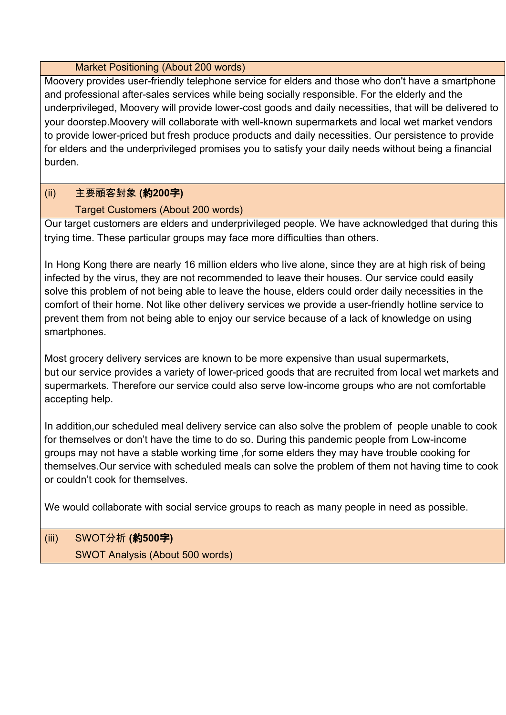#### Market Positioning (About 200 words)

Moovery provides user-friendly telephone service for elders and those who don't have a smartphone and professional after-sales services while being socially responsible. For the elderly and the underprivileged, Moovery will provide lower-cost goods and daily necessities, that will be delivered to your doorstep.Moovery will collaborate with well-known supermarkets and local wet market vendors to provide lower-priced but fresh produce products and daily necessities. Our persistence to provide for elders and the underprivileged promises you to satisfy your daily needs without being a financial burden.

## (ii) 主要顧客對象 **(**約**200**字**)**

## Target Customers (About 200 words)

Our target customers are elders and underprivileged people. We have acknowledged that during this trying time. These particular groups may face more difficulties than others.

In Hong Kong there are nearly 16 million elders who live alone, since they are at high risk of being infected by the virus, they are not recommended to leave their houses. Our service could easily solve this problem of not being able to leave the house, elders could order daily necessities in the comfort of their home. Not like other delivery services we provide a user-friendly hotline service to prevent them from not being able to enjoy our service because of a lack of knowledge on using smartphones.

Most grocery delivery services are known to be more expensive than usual supermarkets, but our service provides a variety of lower-priced goods that are recruited from local wet markets and supermarkets. Therefore our service could also serve low-income groups who are not comfortable accepting help.

In addition,our scheduled meal delivery service can also solve the problem of people unable to cook for themselves or don't have the time to do so. During this pandemic people from Low-income groups may not have a stable working time ,for some elders they may have trouble cooking for themselves.Our service with scheduled meals can solve the problem of them not having time to cook or couldn't cook for themselves.

We would collaborate with social service groups to reach as many people in need as possible.

# (iii) SWOT分析 **(**約**500**字**)** SWOT Analysis (About 500 words)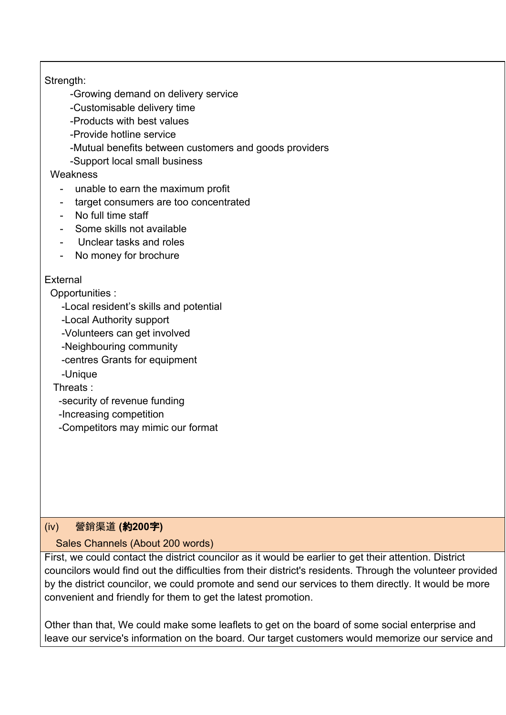#### Strength:

-Growing demand on delivery service

-Customisable delivery time

-Products with best values

-Provide hotline service

-Mutual benefits between customers and goods providers

-Support local small business

#### **Weakness**

- unable to earn the maximum profit
- target consumers are too concentrated
- No full time staff
- Some skills not available
- Unclear tasks and roles
- No money for brochure

#### External

Opportunities :

-Local resident's skills and potential

-Local Authority support

-Volunteers can get involved

-Neighbouring community

-centres Grants for equipment

-Unique

Threats :

-security of revenue funding

-Increasing competition

-Competitors may mimic our format

### (iv) 營銷渠道 **(**約**200**字**)**

#### Sales Channels (About 200 words)

First, we could contact the district councilor as it would be earlier to get their attention. District councilors would find out the difficulties from their district's residents. Through the volunteer provided by the district councilor, we could promote and send our services to them directly. It would be more convenient and friendly for them to get the latest promotion.

Other than that, We could make some leaflets to get on the board of some social enterprise and leave our service's information on the board. Our target customers would memorize our service and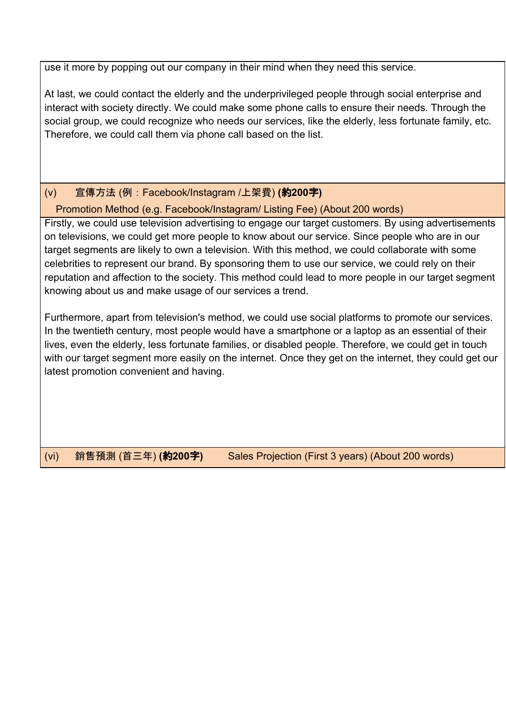use it more by popping out our company in their mind when they need this service.

At last, we could contact the elderly and the underprivileged people through social enterprise and interact with society directly. We could make some phone calls to ensure their needs. Through the social group, we could recognize who needs our services, like the elderly, less fortunate family, etc. Therefore, we could call them via phone call based on the list.

(v) 宣傳方法 (例:Facebook/Instagram /上架費) **(**約**200**字**)**

Promotion Method (e.g. Facebook/Instagram/ Listing Fee) (About 200 words)

Firstly, we could use television advertising to engage our target customers. By using advertisements on televisions, we could get more people to know about our service. Since people who are in our target segments are likely to own a television. With this method, we could collaborate with some celebrities to represent our brand. By sponsoring them to use our service, we could rely on their reputation and affection to the society. This method could lead to more people in our target segment knowing about us and make usage of our services a trend.

Furthermore, apart from television's method, we could use social platforms to promote our services. In the twentieth century, most people would have a smartphone or a laptop as an essential of their lives, even the elderly, less fortunate families, or disabled people. Therefore, we could get in touch with our target segment more easily on the internet. Once they get on the internet, they could get our latest promotion convenient and having.

(vi) 銷售預測 (首三年) **(**約**200**字**)** Sales Projection (First 3 years) (About 200 words)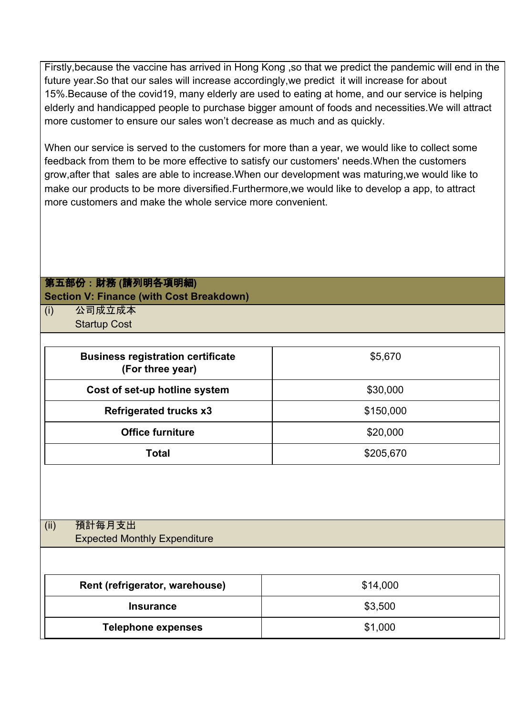Firstly,because the vaccine has arrived in Hong Kong ,so that we predict the pandemic will end in the future year.So that our sales will increase accordingly,we predict it will increase for about 15%.Because of the covid19, many elderly are used to eating at home, and our service is helping elderly and handicapped people to purchase bigger amount of foods and necessities.We will attract more customer to ensure our sales won't decrease as much and as quickly.

When our service is served to the customers for more than a year, we would like to collect some feedback from them to be more effective to satisfy our customers' needs.When the customers grow,after that sales are able to increase.When our development was maturing,we would like to make our products to be more diversified.Furthermore,we would like to develop a app, to attract more customers and make the whole service more convenient.

### 第五部份:財務 **(**請列明各項明細**) Section V: Finance (with Cost Breakdown)**

(i) 公司成立成本 Startup Cost

| <b>Business registration certificate</b><br>(For three year) | \$5,670   |
|--------------------------------------------------------------|-----------|
| Cost of set-up hotline system                                | \$30,000  |
| <b>Refrigerated trucks x3</b>                                | \$150,000 |
| <b>Office furniture</b>                                      | \$20,000  |
| Total                                                        | \$205,670 |

## (ii) 預計每月支出 Expected Monthly Expenditure

| Rent (refrigerator, warehouse) | \$14,000 |  |
|--------------------------------|----------|--|
| <b>Insurance</b>               | \$3,500  |  |
| <b>Telephone expenses</b>      | \$1,000  |  |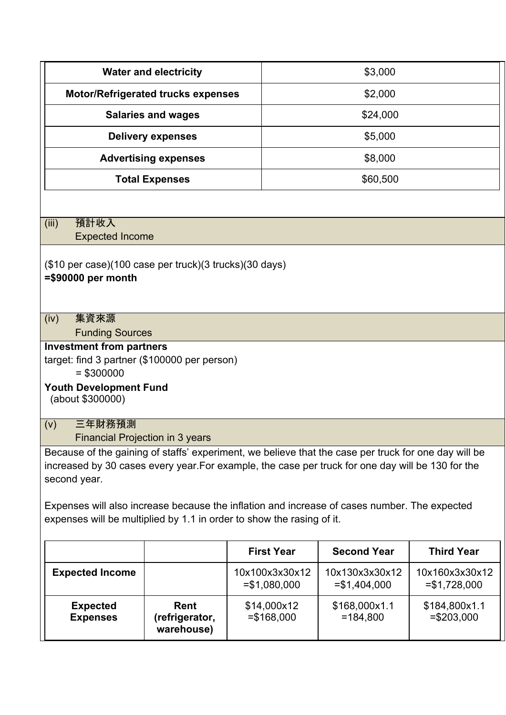| <b>Water and electricity</b>                                                                                                                                                                                                                                                                                                                                                                       |                                             |                                  | \$3,000                          |                                  |  |
|----------------------------------------------------------------------------------------------------------------------------------------------------------------------------------------------------------------------------------------------------------------------------------------------------------------------------------------------------------------------------------------------------|---------------------------------------------|----------------------------------|----------------------------------|----------------------------------|--|
|                                                                                                                                                                                                                                                                                                                                                                                                    | <b>Motor/Refrigerated trucks expenses</b>   |                                  | \$2,000                          |                                  |  |
|                                                                                                                                                                                                                                                                                                                                                                                                    | <b>Salaries and wages</b>                   |                                  | \$24,000                         |                                  |  |
| <b>Delivery expenses</b>                                                                                                                                                                                                                                                                                                                                                                           |                                             |                                  | \$5,000                          |                                  |  |
|                                                                                                                                                                                                                                                                                                                                                                                                    | \$8,000<br><b>Advertising expenses</b>      |                                  |                                  |                                  |  |
|                                                                                                                                                                                                                                                                                                                                                                                                    | <b>Total Expenses</b>                       |                                  | \$60,500                         |                                  |  |
|                                                                                                                                                                                                                                                                                                                                                                                                    |                                             |                                  |                                  |                                  |  |
| 預計收入<br>(iii)<br><b>Expected Income</b>                                                                                                                                                                                                                                                                                                                                                            |                                             |                                  |                                  |                                  |  |
| (\$10 per case)(100 case per truck)(3 trucks)(30 days)<br>$= $90000$ per month                                                                                                                                                                                                                                                                                                                     |                                             |                                  |                                  |                                  |  |
| 集資來源<br>(iv)<br><b>Funding Sources</b>                                                                                                                                                                                                                                                                                                                                                             |                                             |                                  |                                  |                                  |  |
| <b>Investment from partners</b><br>target: find 3 partner (\$100000 per person)<br>$= $300000$<br><b>Youth Development Fund</b><br>(about \$300000)                                                                                                                                                                                                                                                |                                             |                                  |                                  |                                  |  |
| 三年財務預測<br>(v)<br>Financial Projection in 3 years                                                                                                                                                                                                                                                                                                                                                   |                                             |                                  |                                  |                                  |  |
| Because of the gaining of staffs' experiment, we believe that the case per truck for one day will be<br>increased by 30 cases every year. For example, the case per truck for one day will be 130 for the<br>second year.<br>Expenses will also increase because the inflation and increase of cases number. The expected<br>expenses will be multiplied by 1.1 in order to show the rasing of it. |                                             |                                  |                                  |                                  |  |
|                                                                                                                                                                                                                                                                                                                                                                                                    |                                             | <b>First Year</b>                | <b>Second Year</b>               | <b>Third Year</b>                |  |
| <b>Expected Income</b>                                                                                                                                                                                                                                                                                                                                                                             |                                             | 10x100x3x30x12<br>$= $1,080,000$ | 10x130x3x30x12<br>$= $1,404,000$ | 10x160x3x30x12<br>$= $1,728,000$ |  |
| <b>Expected</b><br><b>Expenses</b>                                                                                                                                                                                                                                                                                                                                                                 | <b>Rent</b><br>(refrigerator,<br>warehouse) | \$14,000x12<br>$= $168,000$      | \$168,000x1.1<br>$=184,800$      | \$184,800x1.1<br>$= $203,000$    |  |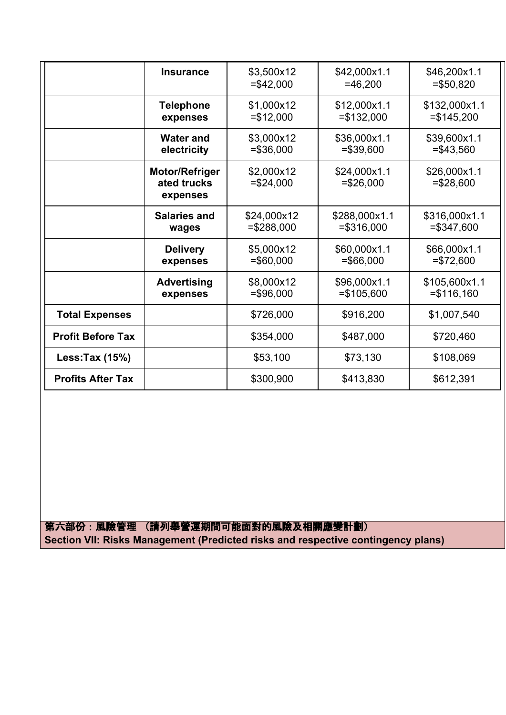|                          | <b>Insurance</b>                                 | \$3,500x12<br>$= $42,000$   | \$42,000x1.1<br>$=46,200$     | \$46,200x1.1<br>$= $50,820$   |
|--------------------------|--------------------------------------------------|-----------------------------|-------------------------------|-------------------------------|
|                          | <b>Telephone</b><br>expenses                     | \$1,000x12<br>$= $12,000$   | \$12,000x1.1<br>$= $132,000$  | \$132,000x1.1<br>$= $145,200$ |
|                          | <b>Water and</b><br>electricity                  | \$3,000x12<br>$= $36,000$   | \$36,000x1.1<br>$= $39,600$   | \$39,600x1.1<br>$= $43,560$   |
|                          | <b>Motor/Refriger</b><br>ated trucks<br>expenses | \$2,000x12<br>$= $24,000$   | \$24,000x1.1<br>$= $26,000$   | \$26,000x1.1<br>$= $28,600$   |
|                          | <b>Salaries and</b><br>wages                     | \$24,000x12<br>$= $288,000$ | \$288,000x1.1<br>$= $316,000$ | \$316,000x1.1<br>$= $347,600$ |
|                          | <b>Delivery</b><br>expenses                      | \$5,000x12<br>$= $60,000$   | \$60,000x1.1<br>$= $66,000$   | \$66,000x1.1<br>$= $72,600$   |
|                          | <b>Advertising</b><br>expenses                   | \$8,000x12<br>$= $96,000$   | \$96,000x1.1<br>$= $105,600$  | \$105,600x1.1<br>$= $116,160$ |
| <b>Total Expenses</b>    |                                                  | \$726,000                   | \$916,200                     | \$1,007,540                   |
| <b>Profit Before Tax</b> |                                                  | \$354,000                   | \$487,000                     | \$720,460                     |
| Less: Tax (15%)          |                                                  | \$53,100                    | \$73,130                      | \$108,069                     |
| <b>Profits After Tax</b> |                                                  | \$300,900                   | \$413,830                     | \$612,391                     |

第六部份:風險管理 (請列舉營運期間可能面對的風險及相關應變計劃) **Section VII: Risks Management (Predicted risks and respective contingency plans)**